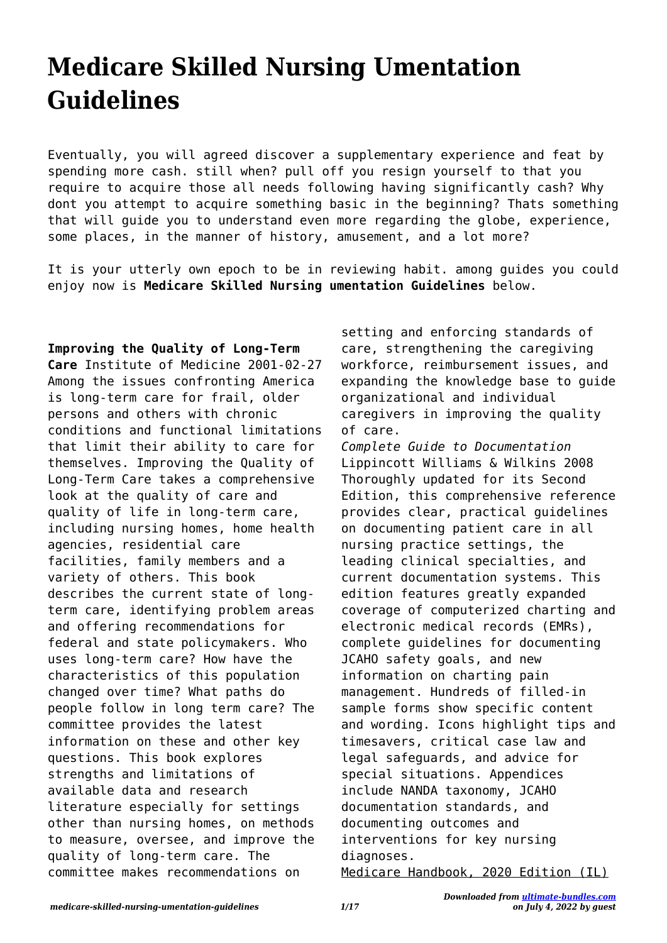## **Medicare Skilled Nursing Umentation Guidelines**

Eventually, you will agreed discover a supplementary experience and feat by spending more cash. still when? pull off you resign yourself to that you require to acquire those all needs following having significantly cash? Why dont you attempt to acquire something basic in the beginning? Thats something that will guide you to understand even more regarding the globe, experience, some places, in the manner of history, amusement, and a lot more?

It is your utterly own epoch to be in reviewing habit. among guides you could enjoy now is **Medicare Skilled Nursing umentation Guidelines** below.

**Improving the Quality of Long-Term Care** Institute of Medicine 2001-02-27 Among the issues confronting America is long-term care for frail, older persons and others with chronic conditions and functional limitations that limit their ability to care for themselves. Improving the Quality of Long-Term Care takes a comprehensive look at the quality of care and quality of life in long-term care, including nursing homes, home health agencies, residential care facilities, family members and a variety of others. This book describes the current state of longterm care, identifying problem areas and offering recommendations for federal and state policymakers. Who uses long-term care? How have the characteristics of this population changed over time? What paths do people follow in long term care? The committee provides the latest information on these and other key questions. This book explores strengths and limitations of available data and research literature especially for settings other than nursing homes, on methods to measure, oversee, and improve the quality of long-term care. The committee makes recommendations on

setting and enforcing standards of care, strengthening the caregiving workforce, reimbursement issues, and expanding the knowledge base to guide organizational and individual caregivers in improving the quality of care.

*Complete Guide to Documentation* Lippincott Williams & Wilkins 2008 Thoroughly updated for its Second Edition, this comprehensive reference provides clear, practical guidelines on documenting patient care in all nursing practice settings, the leading clinical specialties, and current documentation systems. This edition features greatly expanded coverage of computerized charting and electronic medical records (EMRs), complete guidelines for documenting JCAHO safety goals, and new information on charting pain management. Hundreds of filled-in sample forms show specific content and wording. Icons highlight tips and timesavers, critical case law and legal safeguards, and advice for special situations. Appendices include NANDA taxonomy, JCAHO documentation standards, and documenting outcomes and interventions for key nursing diagnoses.

Medicare Handbook, 2020 Edition (IL)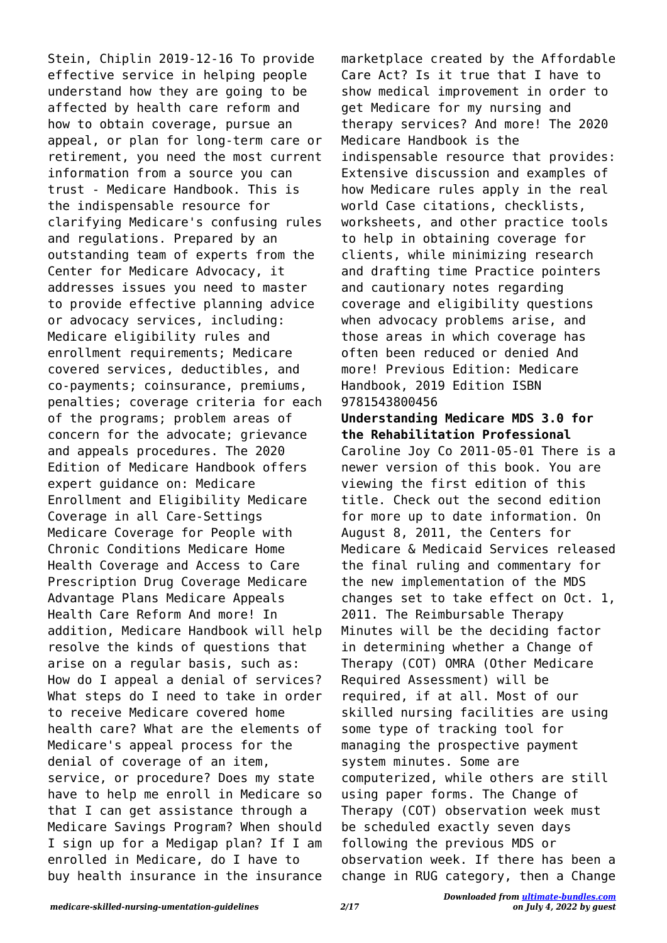Stein, Chiplin 2019-12-16 To provide effective service in helping people understand how they are going to be affected by health care reform and how to obtain coverage, pursue an appeal, or plan for long-term care or retirement, you need the most current information from a source you can trust - Medicare Handbook. This is the indispensable resource for clarifying Medicare's confusing rules and regulations. Prepared by an outstanding team of experts from the Center for Medicare Advocacy, it addresses issues you need to master to provide effective planning advice or advocacy services, including: Medicare eligibility rules and enrollment requirements; Medicare covered services, deductibles, and co-payments; coinsurance, premiums, penalties; coverage criteria for each of the programs; problem areas of concern for the advocate; grievance and appeals procedures. The 2020 Edition of Medicare Handbook offers expert guidance on: Medicare Enrollment and Eligibility Medicare Coverage in all Care-Settings Medicare Coverage for People with Chronic Conditions Medicare Home Health Coverage and Access to Care Prescription Drug Coverage Medicare Advantage Plans Medicare Appeals Health Care Reform And more! In addition, Medicare Handbook will help resolve the kinds of questions that arise on a regular basis, such as: How do I appeal a denial of services? What steps do I need to take in order to receive Medicare covered home health care? What are the elements of Medicare's appeal process for the denial of coverage of an item, service, or procedure? Does my state have to help me enroll in Medicare so that I can get assistance through a Medicare Savings Program? When should I sign up for a Medigap plan? If I am enrolled in Medicare, do I have to buy health insurance in the insurance marketplace created by the Affordable Care Act? Is it true that I have to show medical improvement in order to get Medicare for my nursing and therapy services? And more! The 2020 Medicare Handbook is the indispensable resource that provides: Extensive discussion and examples of how Medicare rules apply in the real world Case citations, checklists, worksheets, and other practice tools to help in obtaining coverage for clients, while minimizing research and drafting time Practice pointers and cautionary notes regarding coverage and eligibility questions when advocacy problems arise, and those areas in which coverage has often been reduced or denied And more! Previous Edition: Medicare Handbook, 2019 Edition ISBN 9781543800456

**Understanding Medicare MDS 3.0 for the Rehabilitation Professional** Caroline Joy Co 2011-05-01 There is a newer version of this book. You are viewing the first edition of this title. Check out the second edition for more up to date information. On August 8, 2011, the Centers for Medicare & Medicaid Services released the final ruling and commentary for the new implementation of the MDS changes set to take effect on Oct. 1, 2011. The Reimbursable Therapy Minutes will be the deciding factor in determining whether a Change of Therapy (COT) OMRA (Other Medicare Required Assessment) will be required, if at all. Most of our skilled nursing facilities are using some type of tracking tool for managing the prospective payment system minutes. Some are computerized, while others are still using paper forms. The Change of Therapy (COT) observation week must be scheduled exactly seven days following the previous MDS or observation week. If there has been a change in RUG category, then a Change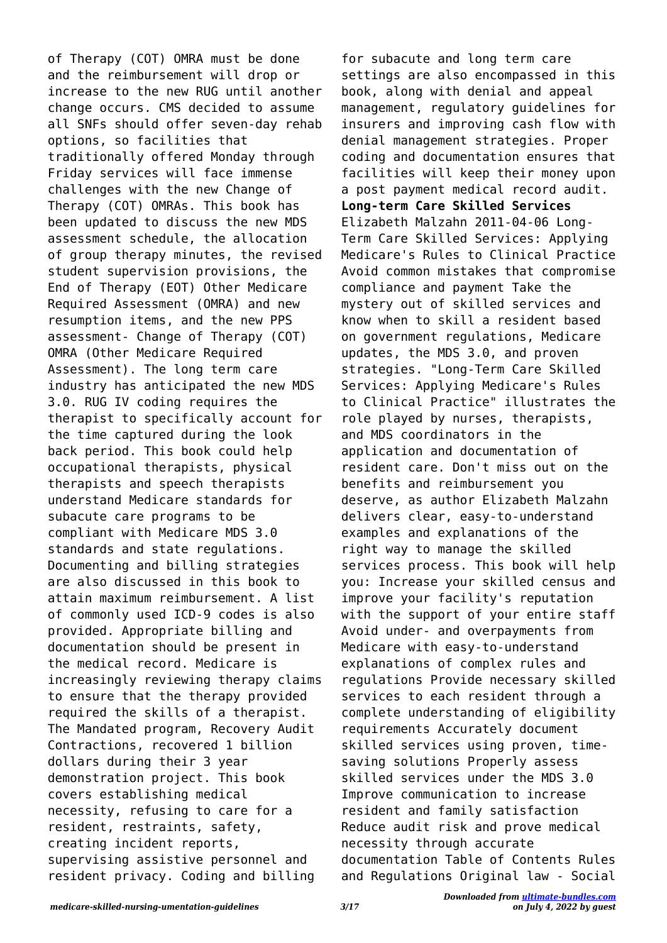of Therapy (COT) OMRA must be done and the reimbursement will drop or increase to the new RUG until another change occurs. CMS decided to assume all SNFs should offer seven-day rehab options, so facilities that traditionally offered Monday through Friday services will face immense challenges with the new Change of Therapy (COT) OMRAs. This book has been updated to discuss the new MDS assessment schedule, the allocation of group therapy minutes, the revised student supervision provisions, the End of Therapy (EOT) Other Medicare Required Assessment (OMRA) and new resumption items, and the new PPS assessment- Change of Therapy (COT) OMRA (Other Medicare Required Assessment). The long term care industry has anticipated the new MDS 3.0. RUG IV coding requires the therapist to specifically account for the time captured during the look back period. This book could help occupational therapists, physical therapists and speech therapists understand Medicare standards for subacute care programs to be compliant with Medicare MDS 3.0 standards and state regulations. Documenting and billing strategies are also discussed in this book to attain maximum reimbursement. A list of commonly used ICD-9 codes is also provided. Appropriate billing and documentation should be present in the medical record. Medicare is increasingly reviewing therapy claims to ensure that the therapy provided required the skills of a therapist. The Mandated program, Recovery Audit Contractions, recovered 1 billion dollars during their 3 year demonstration project. This book covers establishing medical necessity, refusing to care for a resident, restraints, safety, creating incident reports, supervising assistive personnel and resident privacy. Coding and billing

for subacute and long term care settings are also encompassed in this book, along with denial and appeal management, regulatory guidelines for insurers and improving cash flow with denial management strategies. Proper coding and documentation ensures that facilities will keep their money upon a post payment medical record audit. **Long-term Care Skilled Services** Elizabeth Malzahn 2011-04-06 Long-Term Care Skilled Services: Applying Medicare's Rules to Clinical Practice Avoid common mistakes that compromise compliance and payment Take the mystery out of skilled services and know when to skill a resident based on government regulations, Medicare updates, the MDS 3.0, and proven strategies. "Long-Term Care Skilled Services: Applying Medicare's Rules to Clinical Practice" illustrates the role played by nurses, therapists, and MDS coordinators in the application and documentation of resident care. Don't miss out on the benefits and reimbursement you deserve, as author Elizabeth Malzahn delivers clear, easy-to-understand examples and explanations of the right way to manage the skilled services process. This book will help you: Increase your skilled census and improve your facility's reputation with the support of your entire staff Avoid under- and overpayments from Medicare with easy-to-understand explanations of complex rules and regulations Provide necessary skilled services to each resident through a complete understanding of eligibility requirements Accurately document skilled services using proven, timesaving solutions Properly assess skilled services under the MDS 3.0 Improve communication to increase resident and family satisfaction Reduce audit risk and prove medical necessity through accurate documentation Table of Contents Rules and Regulations Original law - Social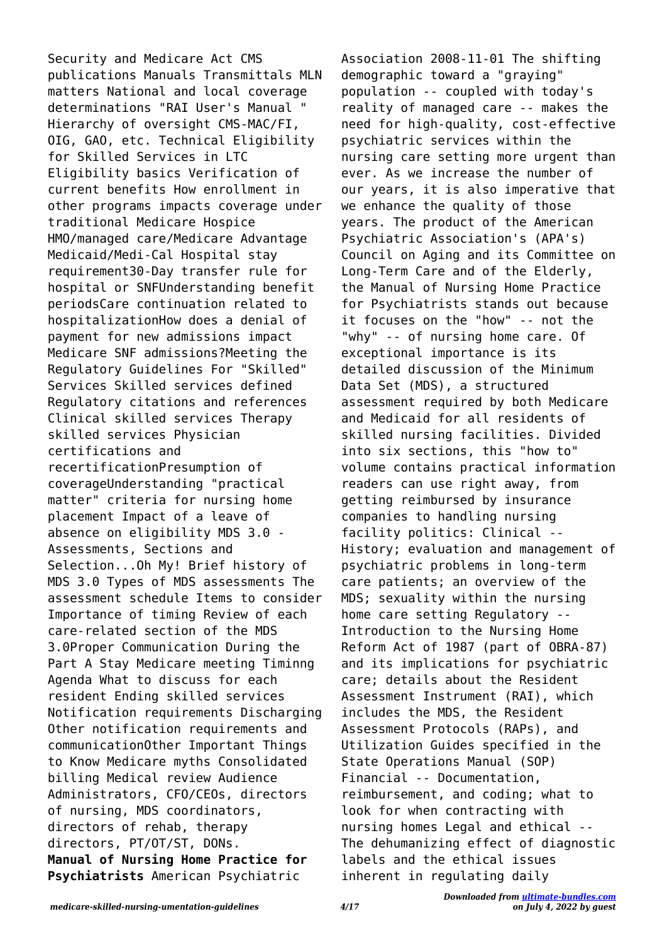Security and Medicare Act CMS publications Manuals Transmittals MLN matters National and local coverage determinations "RAI User's Manual " Hierarchy of oversight CMS-MAC/FI, OIG, GAO, etc. Technical Eligibility for Skilled Services in LTC Eligibility basics Verification of current benefits How enrollment in other programs impacts coverage under traditional Medicare Hospice HMO/managed care/Medicare Advantage Medicaid/Medi-Cal Hospital stay requirement30-Day transfer rule for hospital or SNFUnderstanding benefit periodsCare continuation related to hospitalizationHow does a denial of payment for new admissions impact Medicare SNF admissions?Meeting the Regulatory Guidelines For "Skilled" Services Skilled services defined Regulatory citations and references Clinical skilled services Therapy skilled services Physician certifications and recertificationPresumption of coverageUnderstanding "practical matter" criteria for nursing home placement Impact of a leave of absence on eligibility MDS 3.0 - Assessments, Sections and Selection...Oh My! Brief history of MDS 3.0 Types of MDS assessments The assessment schedule Items to consider Importance of timing Review of each care-related section of the MDS 3.0Proper Communication During the Part A Stay Medicare meeting Timinng Agenda What to discuss for each resident Ending skilled services Notification requirements Discharging Other notification requirements and communicationOther Important Things to Know Medicare myths Consolidated billing Medical review Audience Administrators, CFO/CEOs, directors of nursing, MDS coordinators, directors of rehab, therapy directors, PT/OT/ST, DONs. **Manual of Nursing Home Practice for Psychiatrists** American Psychiatric

Association 2008-11-01 The shifting demographic toward a "graying" population -- coupled with today's reality of managed care -- makes the need for high-quality, cost-effective psychiatric services within the nursing care setting more urgent than ever. As we increase the number of our years, it is also imperative that we enhance the quality of those years. The product of the American Psychiatric Association's (APA's) Council on Aging and its Committee on Long-Term Care and of the Elderly, the Manual of Nursing Home Practice for Psychiatrists stands out because it focuses on the "how" -- not the "why" -- of nursing home care. Of exceptional importance is its detailed discussion of the Minimum Data Set (MDS), a structured assessment required by both Medicare and Medicaid for all residents of skilled nursing facilities. Divided into six sections, this "how to" volume contains practical information readers can use right away, from getting reimbursed by insurance companies to handling nursing facility politics: Clinical -- History; evaluation and management of psychiatric problems in long-term care patients; an overview of the MDS; sexuality within the nursing home care setting Regulatory -- Introduction to the Nursing Home Reform Act of 1987 (part of OBRA-87) and its implications for psychiatric care; details about the Resident Assessment Instrument (RAI), which includes the MDS, the Resident Assessment Protocols (RAPs), and Utilization Guides specified in the State Operations Manual (SOP) Financial -- Documentation, reimbursement, and coding; what to look for when contracting with nursing homes Legal and ethical -- The dehumanizing effect of diagnostic labels and the ethical issues inherent in regulating daily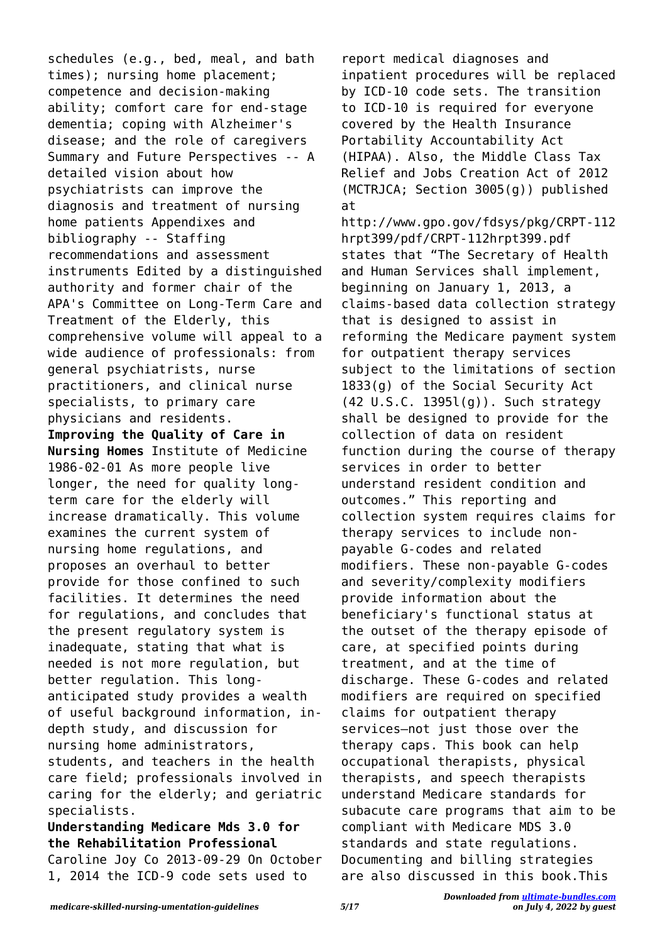schedules (e.g., bed, meal, and bath times); nursing home placement; competence and decision-making ability; comfort care for end-stage dementia; coping with Alzheimer's disease; and the role of caregivers Summary and Future Perspectives -- A detailed vision about how psychiatrists can improve the diagnosis and treatment of nursing home patients Appendixes and bibliography -- Staffing recommendations and assessment instruments Edited by a distinguished authority and former chair of the APA's Committee on Long-Term Care and Treatment of the Elderly, this comprehensive volume will appeal to a wide audience of professionals: from general psychiatrists, nurse practitioners, and clinical nurse specialists, to primary care physicians and residents. **Improving the Quality of Care in Nursing Homes** Institute of Medicine 1986-02-01 As more people live longer, the need for quality longterm care for the elderly will increase dramatically. This volume examines the current system of nursing home regulations, and proposes an overhaul to better provide for those confined to such facilities. It determines the need for regulations, and concludes that the present regulatory system is inadequate, stating that what is needed is not more regulation, but better regulation. This longanticipated study provides a wealth of useful background information, indepth study, and discussion for nursing home administrators, students, and teachers in the health care field; professionals involved in caring for the elderly; and geriatric specialists.

**Understanding Medicare Mds 3.0 for the Rehabilitation Professional** Caroline Joy Co 2013-09-29 On October 1, 2014 the ICD-9 code sets used to

report medical diagnoses and inpatient procedures will be replaced by ICD-10 code sets. The transition to ICD-10 is required for everyone covered by the Health Insurance Portability Accountability Act (HIPAA). Also, the Middle Class Tax Relief and Jobs Creation Act of 2012 (MCTRJCA; Section 3005(g)) published at http://www.gpo.gov/fdsys/pkg/CRPT-112 hrpt399/pdf/CRPT-112hrpt399.pdf states that "The Secretary of Health and Human Services shall implement, beginning on January 1, 2013, a claims-based data collection strategy that is designed to assist in reforming the Medicare payment system for outpatient therapy services subject to the limitations of section 1833(g) of the Social Security Act (42 U.S.C. 1395l(g)). Such strategy shall be designed to provide for the collection of data on resident function during the course of therapy services in order to better understand resident condition and outcomes." This reporting and collection system requires claims for therapy services to include nonpayable G-codes and related modifiers. These non-payable G-codes and severity/complexity modifiers provide information about the beneficiary's functional status at the outset of the therapy episode of care, at specified points during treatment, and at the time of discharge. These G-codes and related modifiers are required on specified claims for outpatient therapy services–not just those over the therapy caps. This book can help occupational therapists, physical therapists, and speech therapists understand Medicare standards for subacute care programs that aim to be compliant with Medicare MDS 3.0 standards and state regulations. Documenting and billing strategies are also discussed in this book.This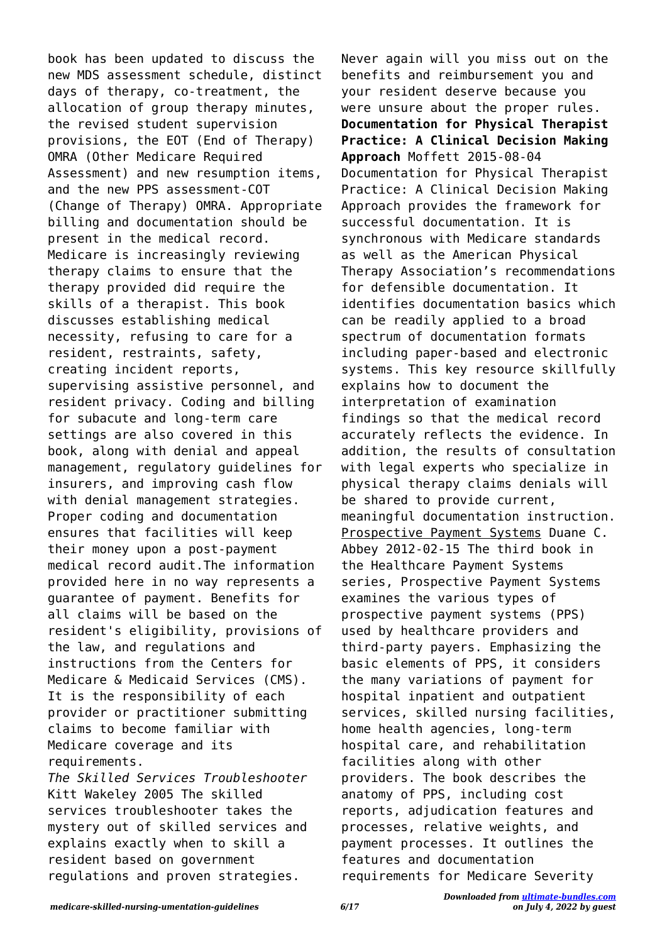book has been updated to discuss the new MDS assessment schedule, distinct days of therapy, co-treatment, the allocation of group therapy minutes, the revised student supervision provisions, the EOT (End of Therapy) OMRA (Other Medicare Required Assessment) and new resumption items, and the new PPS assessment-COT (Change of Therapy) OMRA. Appropriate billing and documentation should be present in the medical record. Medicare is increasingly reviewing therapy claims to ensure that the therapy provided did require the skills of a therapist. This book discusses establishing medical necessity, refusing to care for a resident, restraints, safety, creating incident reports, supervising assistive personnel, and resident privacy. Coding and billing for subacute and long-term care settings are also covered in this book, along with denial and appeal management, regulatory guidelines for insurers, and improving cash flow with denial management strategies. Proper coding and documentation ensures that facilities will keep their money upon a post-payment medical record audit.The information provided here in no way represents a guarantee of payment. Benefits for all claims will be based on the resident's eligibility, provisions of the law, and regulations and instructions from the Centers for Medicare & Medicaid Services (CMS). It is the responsibility of each provider or practitioner submitting claims to become familiar with Medicare coverage and its requirements.

*The Skilled Services Troubleshooter* Kitt Wakeley 2005 The skilled services troubleshooter takes the mystery out of skilled services and explains exactly when to skill a resident based on government regulations and proven strategies.

Never again will you miss out on the benefits and reimbursement you and your resident deserve because you were unsure about the proper rules. **Documentation for Physical Therapist Practice: A Clinical Decision Making Approach** Moffett 2015-08-04 Documentation for Physical Therapist Practice: A Clinical Decision Making Approach provides the framework for successful documentation. It is synchronous with Medicare standards as well as the American Physical Therapy Association's recommendations for defensible documentation. It identifies documentation basics which can be readily applied to a broad spectrum of documentation formats including paper-based and electronic systems. This key resource skillfully explains how to document the interpretation of examination findings so that the medical record accurately reflects the evidence. In addition, the results of consultation with legal experts who specialize in physical therapy claims denials will be shared to provide current, meaningful documentation instruction. Prospective Payment Systems Duane C. Abbey 2012-02-15 The third book in the Healthcare Payment Systems series, Prospective Payment Systems examines the various types of prospective payment systems (PPS) used by healthcare providers and third-party payers. Emphasizing the basic elements of PPS, it considers the many variations of payment for hospital inpatient and outpatient services, skilled nursing facilities, home health agencies, long-term hospital care, and rehabilitation facilities along with other providers. The book describes the anatomy of PPS, including cost reports, adjudication features and processes, relative weights, and payment processes. It outlines the features and documentation requirements for Medicare Severity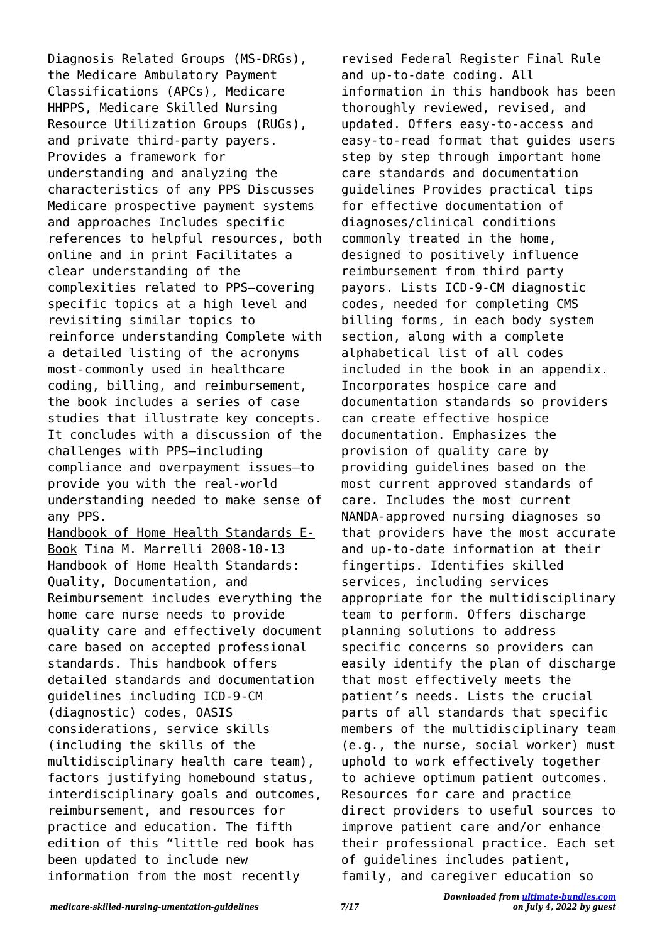Diagnosis Related Groups (MS-DRGs), the Medicare Ambulatory Payment Classifications (APCs), Medicare HHPPS, Medicare Skilled Nursing Resource Utilization Groups (RUGs), and private third-party payers. Provides a framework for understanding and analyzing the characteristics of any PPS Discusses Medicare prospective payment systems and approaches Includes specific references to helpful resources, both online and in print Facilitates a clear understanding of the complexities related to PPS—covering specific topics at a high level and revisiting similar topics to reinforce understanding Complete with a detailed listing of the acronyms most-commonly used in healthcare coding, billing, and reimbursement, the book includes a series of case studies that illustrate key concepts. It concludes with a discussion of the challenges with PPS—including compliance and overpayment issues—to provide you with the real-world understanding needed to make sense of any PPS. Handbook of Home Health Standards E-Book Tina M. Marrelli 2008-10-13 Handbook of Home Health Standards: Quality, Documentation, and Reimbursement includes everything the home care nurse needs to provide quality care and effectively document care based on accepted professional standards. This handbook offers detailed standards and documentation guidelines including ICD-9-CM (diagnostic) codes, OASIS considerations, service skills (including the skills of the multidisciplinary health care team), factors justifying homebound status, interdisciplinary goals and outcomes, reimbursement, and resources for practice and education. The fifth edition of this "little red book has been updated to include new

revised Federal Register Final Rule and up-to-date coding. All information in this handbook has been thoroughly reviewed, revised, and updated. Offers easy-to-access and easy-to-read format that guides users step by step through important home care standards and documentation guidelines Provides practical tips for effective documentation of diagnoses/clinical conditions commonly treated in the home, designed to positively influence reimbursement from third party payors. Lists ICD-9-CM diagnostic codes, needed for completing CMS billing forms, in each body system section, along with a complete alphabetical list of all codes included in the book in an appendix. Incorporates hospice care and documentation standards so providers can create effective hospice documentation. Emphasizes the provision of quality care by providing guidelines based on the most current approved standards of care. Includes the most current NANDA-approved nursing diagnoses so that providers have the most accurate and up-to-date information at their fingertips. Identifies skilled services, including services appropriate for the multidisciplinary team to perform. Offers discharge planning solutions to address specific concerns so providers can easily identify the plan of discharge that most effectively meets the patient's needs. Lists the crucial parts of all standards that specific members of the multidisciplinary team (e.g., the nurse, social worker) must uphold to work effectively together to achieve optimum patient outcomes. Resources for care and practice direct providers to useful sources to improve patient care and/or enhance their professional practice. Each set of guidelines includes patient, family, and caregiver education so

information from the most recently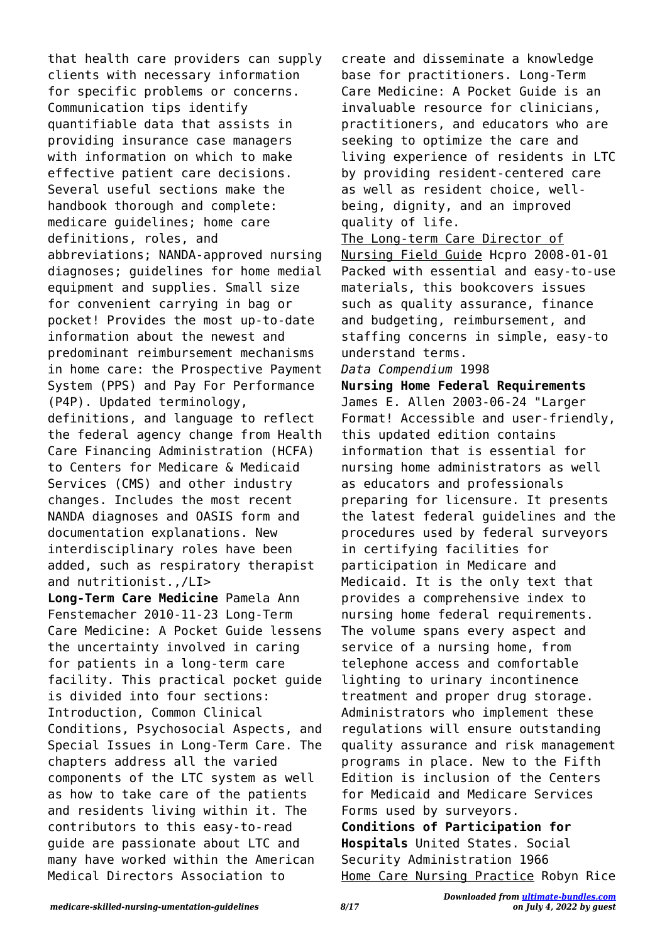that health care providers can supply clients with necessary information for specific problems or concerns. Communication tips identify quantifiable data that assists in providing insurance case managers with information on which to make effective patient care decisions. Several useful sections make the handbook thorough and complete: medicare guidelines; home care definitions, roles, and abbreviations; NANDA-approved nursing diagnoses; guidelines for home medial equipment and supplies. Small size for convenient carrying in bag or pocket! Provides the most up-to-date information about the newest and predominant reimbursement mechanisms in home care: the Prospective Payment System (PPS) and Pay For Performance (P4P). Updated terminology, definitions, and language to reflect the federal agency change from Health Care Financing Administration (HCFA) to Centers for Medicare & Medicaid Services (CMS) and other industry changes. Includes the most recent NANDA diagnoses and OASIS form and documentation explanations. New interdisciplinary roles have been added, such as respiratory therapist and nutritionist.,/LI> **Long-Term Care Medicine** Pamela Ann

Fenstemacher 2010-11-23 Long-Term Care Medicine: A Pocket Guide lessens the uncertainty involved in caring for patients in a long-term care facility. This practical pocket guide is divided into four sections: Introduction, Common Clinical Conditions, Psychosocial Aspects, and Special Issues in Long-Term Care. The chapters address all the varied components of the LTC system as well as how to take care of the patients and residents living within it. The contributors to this easy-to-read guide are passionate about LTC and many have worked within the American Medical Directors Association to

create and disseminate a knowledge base for practitioners. Long-Term Care Medicine: A Pocket Guide is an invaluable resource for clinicians, practitioners, and educators who are seeking to optimize the care and living experience of residents in LTC by providing resident-centered care as well as resident choice, wellbeing, dignity, and an improved quality of life.

The Long-term Care Director of Nursing Field Guide Hcpro 2008-01-01 Packed with essential and easy-to-use materials, this bookcovers issues such as quality assurance, finance and budgeting, reimbursement, and staffing concerns in simple, easy-to understand terms.

## *Data Compendium* 1998

**Nursing Home Federal Requirements** James E. Allen 2003-06-24 "Larger Format! Accessible and user-friendly, this updated edition contains information that is essential for nursing home administrators as well as educators and professionals preparing for licensure. It presents the latest federal guidelines and the procedures used by federal surveyors in certifying facilities for participation in Medicare and Medicaid. It is the only text that provides a comprehensive index to nursing home federal requirements. The volume spans every aspect and service of a nursing home, from telephone access and comfortable lighting to urinary incontinence treatment and proper drug storage. Administrators who implement these regulations will ensure outstanding quality assurance and risk management programs in place. New to the Fifth Edition is inclusion of the Centers for Medicaid and Medicare Services Forms used by surveyors. **Conditions of Participation for Hospitals** United States. Social Security Administration 1966 Home Care Nursing Practice Robyn Rice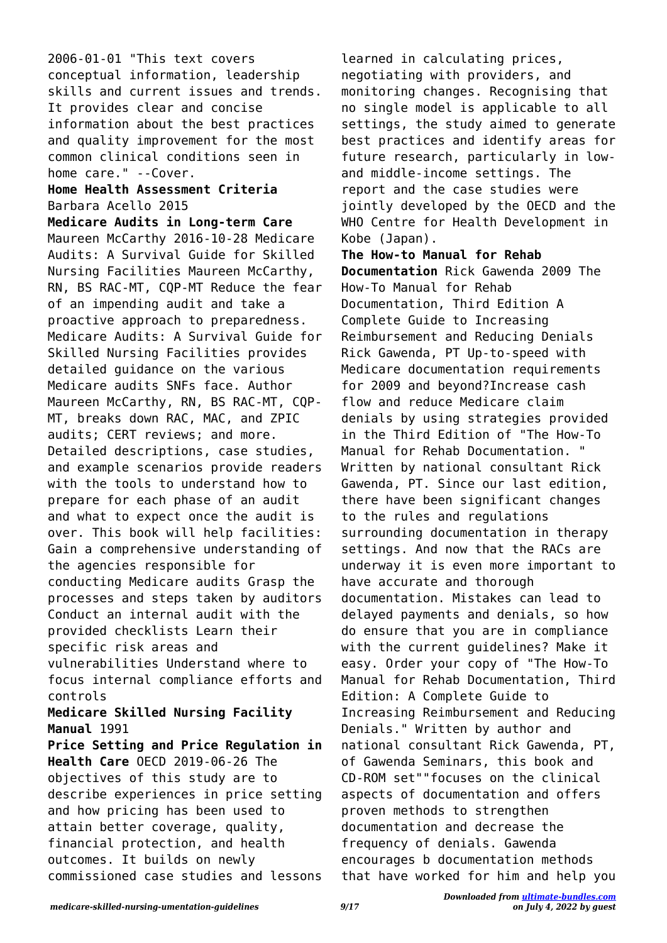2006-01-01 "This text covers conceptual information, leadership skills and current issues and trends. It provides clear and concise information about the best practices and quality improvement for the most common clinical conditions seen in home care." --Cover.

## **Home Health Assessment Criteria** Barbara Acello 2015

**Medicare Audits in Long-term Care** Maureen McCarthy 2016-10-28 Medicare Audits: A Survival Guide for Skilled Nursing Facilities Maureen McCarthy, RN, BS RAC-MT, CQP-MT Reduce the fear of an impending audit and take a proactive approach to preparedness. Medicare Audits: A Survival Guide for Skilled Nursing Facilities provides detailed guidance on the various Medicare audits SNFs face. Author Maureen McCarthy, RN, BS RAC-MT, CQP-MT, breaks down RAC, MAC, and ZPIC audits; CERT reviews; and more. Detailed descriptions, case studies, and example scenarios provide readers with the tools to understand how to prepare for each phase of an audit and what to expect once the audit is over. This book will help facilities: Gain a comprehensive understanding of the agencies responsible for conducting Medicare audits Grasp the processes and steps taken by auditors Conduct an internal audit with the provided checklists Learn their specific risk areas and vulnerabilities Understand where to focus internal compliance efforts and controls **Medicare Skilled Nursing Facility Manual** 1991 **Price Setting and Price Regulation in**

**Health Care** OECD 2019-06-26 The objectives of this study are to describe experiences in price setting and how pricing has been used to attain better coverage, quality, financial protection, and health outcomes. It builds on newly commissioned case studies and lessons learned in calculating prices, negotiating with providers, and monitoring changes. Recognising that no single model is applicable to all settings, the study aimed to generate best practices and identify areas for future research, particularly in lowand middle-income settings. The report and the case studies were jointly developed by the OECD and the WHO Centre for Health Development in Kobe (Japan).

**The How-to Manual for Rehab Documentation** Rick Gawenda 2009 The How-To Manual for Rehab Documentation, Third Edition A Complete Guide to Increasing Reimbursement and Reducing Denials Rick Gawenda, PT Up-to-speed with Medicare documentation requirements for 2009 and beyond?Increase cash flow and reduce Medicare claim denials by using strategies provided in the Third Edition of "The How-To Manual for Rehab Documentation. " Written by national consultant Rick Gawenda, PT. Since our last edition, there have been significant changes to the rules and regulations surrounding documentation in therapy settings. And now that the RACs are underway it is even more important to have accurate and thorough documentation. Mistakes can lead to delayed payments and denials, so how do ensure that you are in compliance with the current guidelines? Make it easy. Order your copy of "The How-To Manual for Rehab Documentation, Third Edition: A Complete Guide to Increasing Reimbursement and Reducing Denials." Written by author and national consultant Rick Gawenda, PT, of Gawenda Seminars, this book and CD-ROM set""focuses on the clinical aspects of documentation and offers proven methods to strengthen documentation and decrease the frequency of denials. Gawenda encourages b documentation methods that have worked for him and help you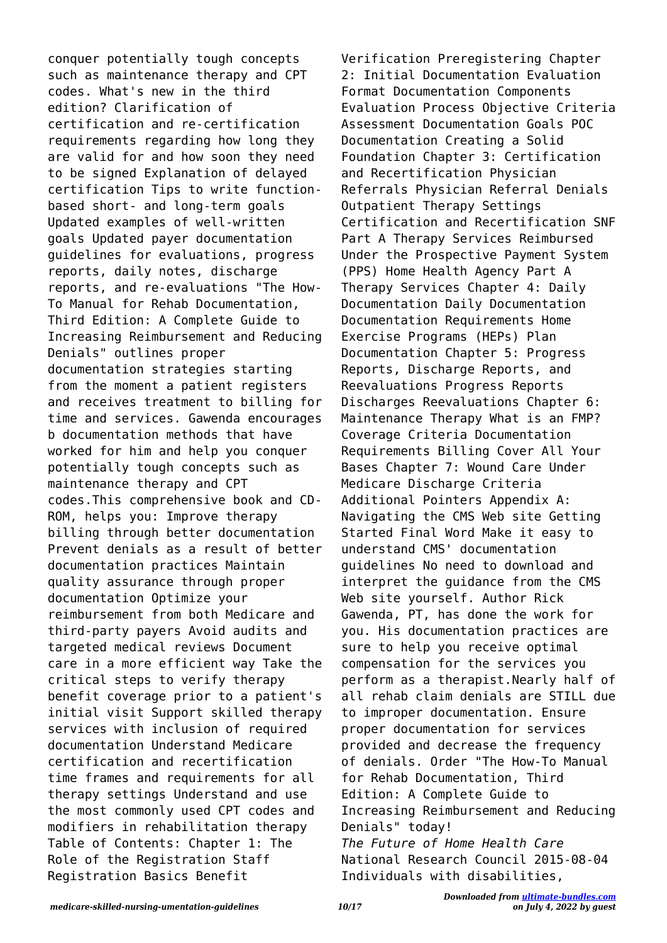conquer potentially tough concepts such as maintenance therapy and CPT codes. What's new in the third edition? Clarification of certification and re-certification requirements regarding how long they are valid for and how soon they need to be signed Explanation of delayed certification Tips to write functionbased short- and long-term goals Updated examples of well-written goals Updated payer documentation guidelines for evaluations, progress reports, daily notes, discharge reports, and re-evaluations "The How-To Manual for Rehab Documentation, Third Edition: A Complete Guide to Increasing Reimbursement and Reducing Denials" outlines proper documentation strategies starting from the moment a patient registers and receives treatment to billing for time and services. Gawenda encourages b documentation methods that have worked for him and help you conquer potentially tough concepts such as maintenance therapy and CPT codes.This comprehensive book and CD-ROM, helps you: Improve therapy billing through better documentation Prevent denials as a result of better documentation practices Maintain quality assurance through proper documentation Optimize your reimbursement from both Medicare and third-party payers Avoid audits and targeted medical reviews Document care in a more efficient way Take the critical steps to verify therapy benefit coverage prior to a patient's initial visit Support skilled therapy services with inclusion of required documentation Understand Medicare certification and recertification time frames and requirements for all therapy settings Understand and use the most commonly used CPT codes and modifiers in rehabilitation therapy Table of Contents: Chapter 1: The Role of the Registration Staff Registration Basics Benefit

Verification Preregistering Chapter 2: Initial Documentation Evaluation Format Documentation Components Evaluation Process Objective Criteria Assessment Documentation Goals POC Documentation Creating a Solid Foundation Chapter 3: Certification and Recertification Physician Referrals Physician Referral Denials Outpatient Therapy Settings Certification and Recertification SNF Part A Therapy Services Reimbursed Under the Prospective Payment System (PPS) Home Health Agency Part A Therapy Services Chapter 4: Daily Documentation Daily Documentation Documentation Requirements Home Exercise Programs (HEPs) Plan Documentation Chapter 5: Progress Reports, Discharge Reports, and Reevaluations Progress Reports Discharges Reevaluations Chapter 6: Maintenance Therapy What is an FMP? Coverage Criteria Documentation Requirements Billing Cover All Your Bases Chapter 7: Wound Care Under Medicare Discharge Criteria Additional Pointers Appendix A: Navigating the CMS Web site Getting Started Final Word Make it easy to understand CMS' documentation guidelines No need to download and interpret the guidance from the CMS Web site yourself. Author Rick Gawenda, PT, has done the work for you. His documentation practices are sure to help you receive optimal compensation for the services you perform as a therapist.Nearly half of all rehab claim denials are STILL due to improper documentation. Ensure proper documentation for services provided and decrease the frequency of denials. Order "The How-To Manual for Rehab Documentation, Third Edition: A Complete Guide to Increasing Reimbursement and Reducing Denials" today! *The Future of Home Health Care* National Research Council 2015-08-04 Individuals with disabilities,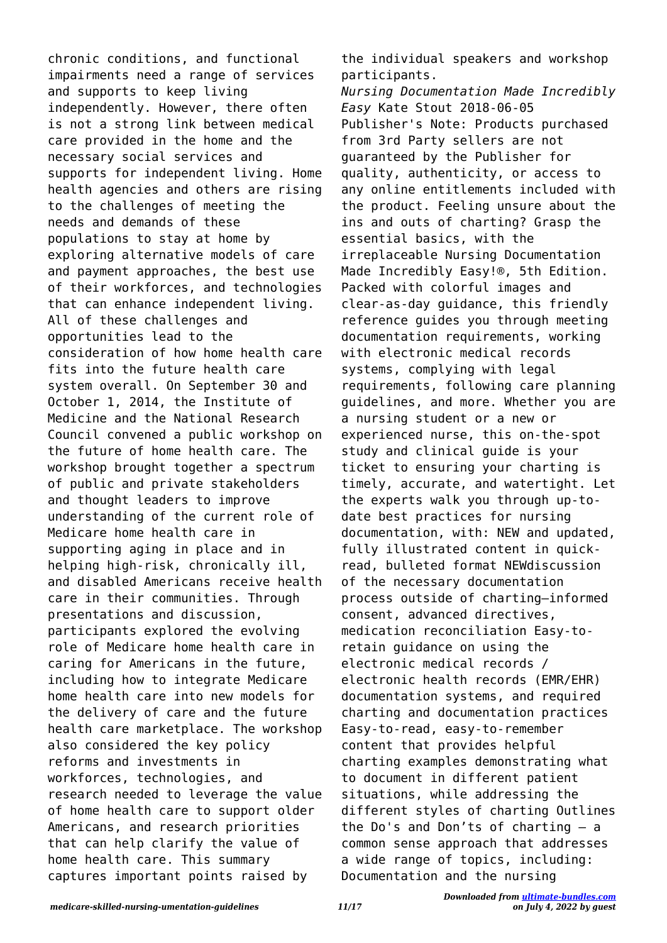chronic conditions, and functional impairments need a range of services and supports to keep living independently. However, there often is not a strong link between medical care provided in the home and the necessary social services and supports for independent living. Home health agencies and others are rising to the challenges of meeting the needs and demands of these populations to stay at home by exploring alternative models of care and payment approaches, the best use of their workforces, and technologies that can enhance independent living. All of these challenges and opportunities lead to the consideration of how home health care fits into the future health care system overall. On September 30 and October 1, 2014, the Institute of Medicine and the National Research Council convened a public workshop on the future of home health care. The workshop brought together a spectrum of public and private stakeholders and thought leaders to improve understanding of the current role of Medicare home health care in supporting aging in place and in helping high-risk, chronically ill, and disabled Americans receive health care in their communities. Through presentations and discussion, participants explored the evolving role of Medicare home health care in caring for Americans in the future, including how to integrate Medicare home health care into new models for the delivery of care and the future health care marketplace. The workshop also considered the key policy reforms and investments in workforces, technologies, and research needed to leverage the value of home health care to support older Americans, and research priorities that can help clarify the value of home health care. This summary captures important points raised by

the individual speakers and workshop participants.

*Nursing Documentation Made Incredibly Easy* Kate Stout 2018-06-05 Publisher's Note: Products purchased from 3rd Party sellers are not guaranteed by the Publisher for quality, authenticity, or access to any online entitlements included with the product. Feeling unsure about the ins and outs of charting? Grasp the essential basics, with the irreplaceable Nursing Documentation Made Incredibly Easy!®, 5th Edition. Packed with colorful images and clear-as-day guidance, this friendly reference guides you through meeting documentation requirements, working with electronic medical records systems, complying with legal requirements, following care planning guidelines, and more. Whether you are a nursing student or a new or experienced nurse, this on-the-spot study and clinical guide is your ticket to ensuring your charting is timely, accurate, and watertight. Let the experts walk you through up-todate best practices for nursing documentation, with: NEW and updated, fully illustrated content in quickread, bulleted format NEWdiscussion of the necessary documentation process outside of charting—informed consent, advanced directives, medication reconciliation Easy-toretain guidance on using the electronic medical records / electronic health records (EMR/EHR) documentation systems, and required charting and documentation practices Easy-to-read, easy-to-remember content that provides helpful charting examples demonstrating what to document in different patient situations, while addressing the different styles of charting Outlines the Do's and Don'ts of charting – a common sense approach that addresses a wide range of topics, including: Documentation and the nursing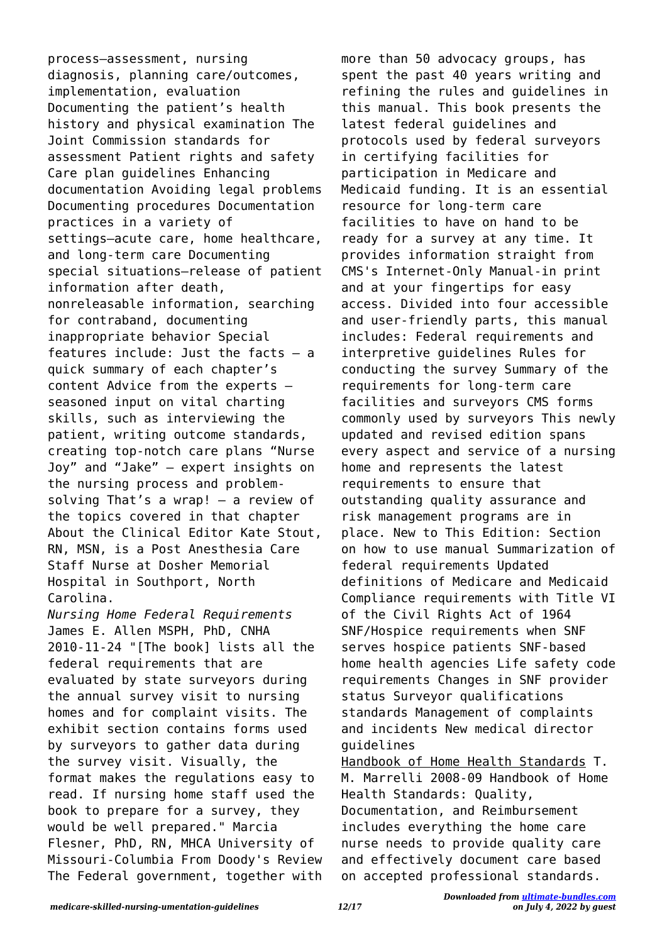process—assessment, nursing diagnosis, planning care/outcomes, implementation, evaluation Documenting the patient's health history and physical examination The Joint Commission standards for assessment Patient rights and safety Care plan guidelines Enhancing documentation Avoiding legal problems Documenting procedures Documentation practices in a variety of settings—acute care, home healthcare, and long-term care Documenting special situations—release of patient information after death, nonreleasable information, searching for contraband, documenting inappropriate behavior Special features include: Just the facts – a quick summary of each chapter's content Advice from the experts – seasoned input on vital charting skills, such as interviewing the patient, writing outcome standards, creating top-notch care plans "Nurse Joy" and "Jake" – expert insights on the nursing process and problemsolving That's a wrap! – a review of the topics covered in that chapter About the Clinical Editor Kate Stout, RN, MSN, is a Post Anesthesia Care Staff Nurse at Dosher Memorial Hospital in Southport, North Carolina.

*Nursing Home Federal Requirements* James E. Allen MSPH, PhD, CNHA 2010-11-24 "[The book] lists all the federal requirements that are evaluated by state surveyors during the annual survey visit to nursing homes and for complaint visits. The exhibit section contains forms used by surveyors to gather data during the survey visit. Visually, the format makes the regulations easy to read. If nursing home staff used the book to prepare for a survey, they would be well prepared." Marcia Flesner, PhD, RN, MHCA University of Missouri-Columbia From Doody's Review The Federal government, together with

more than 50 advocacy groups, has spent the past 40 years writing and refining the rules and guidelines in this manual. This book presents the latest federal guidelines and protocols used by federal surveyors in certifying facilities for participation in Medicare and Medicaid funding. It is an essential resource for long-term care facilities to have on hand to be ready for a survey at any time. It provides information straight from CMS's Internet-Only Manual-in print and at your fingertips for easy access. Divided into four accessible and user-friendly parts, this manual includes: Federal requirements and interpretive guidelines Rules for conducting the survey Summary of the requirements for long-term care facilities and surveyors CMS forms commonly used by surveyors This newly updated and revised edition spans every aspect and service of a nursing home and represents the latest requirements to ensure that outstanding quality assurance and risk management programs are in place. New to This Edition: Section on how to use manual Summarization of federal requirements Updated definitions of Medicare and Medicaid Compliance requirements with Title VI of the Civil Rights Act of 1964 SNF/Hospice requirements when SNF serves hospice patients SNF-based home health agencies Life safety code requirements Changes in SNF provider status Surveyor qualifications standards Management of complaints and incidents New medical director guidelines Handbook of Home Health Standards T. M. Marrelli 2008-09 Handbook of Home

Health Standards: Quality, Documentation, and Reimbursement includes everything the home care nurse needs to provide quality care and effectively document care based on accepted professional standards.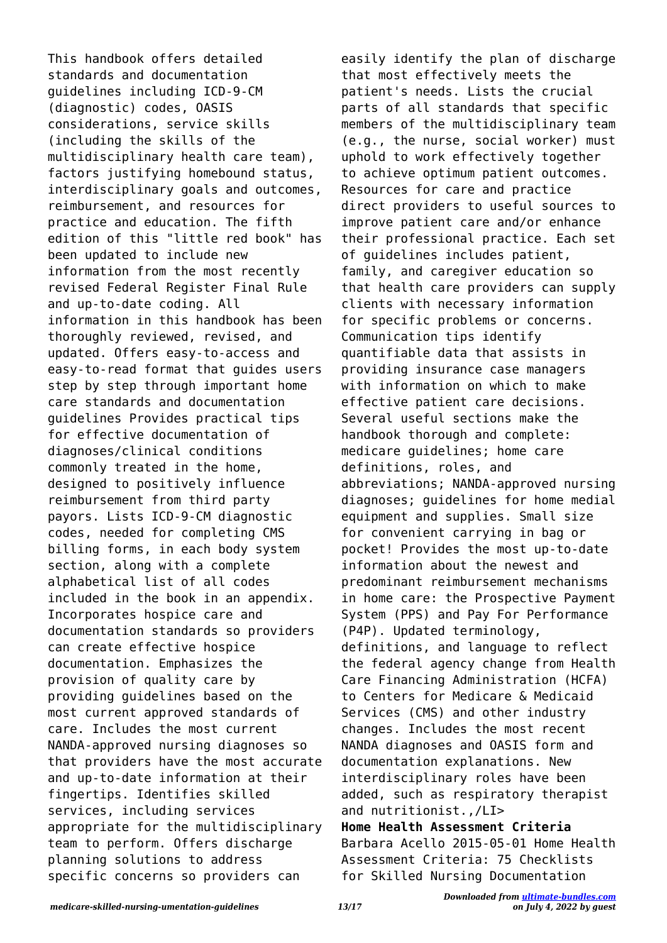This handbook offers detailed standards and documentation guidelines including ICD-9-CM (diagnostic) codes, OASIS considerations, service skills (including the skills of the multidisciplinary health care team), factors justifying homebound status, interdisciplinary goals and outcomes, reimbursement, and resources for practice and education. The fifth edition of this "little red book" has been updated to include new information from the most recently revised Federal Register Final Rule and up-to-date coding. All information in this handbook has been thoroughly reviewed, revised, and updated. Offers easy-to-access and easy-to-read format that guides users step by step through important home care standards and documentation guidelines Provides practical tips for effective documentation of diagnoses/clinical conditions commonly treated in the home, designed to positively influence reimbursement from third party payors. Lists ICD-9-CM diagnostic codes, needed for completing CMS billing forms, in each body system section, along with a complete alphabetical list of all codes included in the book in an appendix. Incorporates hospice care and documentation standards so providers can create effective hospice documentation. Emphasizes the provision of quality care by providing guidelines based on the most current approved standards of care. Includes the most current NANDA-approved nursing diagnoses so that providers have the most accurate and up-to-date information at their fingertips. Identifies skilled services, including services appropriate for the multidisciplinary team to perform. Offers discharge planning solutions to address specific concerns so providers can

easily identify the plan of discharge that most effectively meets the patient's needs. Lists the crucial parts of all standards that specific members of the multidisciplinary team (e.g., the nurse, social worker) must uphold to work effectively together to achieve optimum patient outcomes. Resources for care and practice direct providers to useful sources to improve patient care and/or enhance their professional practice. Each set of guidelines includes patient, family, and caregiver education so that health care providers can supply clients with necessary information for specific problems or concerns. Communication tips identify quantifiable data that assists in providing insurance case managers with information on which to make effective patient care decisions. Several useful sections make the handbook thorough and complete: medicare guidelines; home care definitions, roles, and abbreviations; NANDA-approved nursing diagnoses; guidelines for home medial equipment and supplies. Small size for convenient carrying in bag or pocket! Provides the most up-to-date information about the newest and predominant reimbursement mechanisms in home care: the Prospective Payment System (PPS) and Pay For Performance (P4P). Updated terminology, definitions, and language to reflect the federal agency change from Health Care Financing Administration (HCFA) to Centers for Medicare & Medicaid Services (CMS) and other industry changes. Includes the most recent NANDA diagnoses and OASIS form and documentation explanations. New interdisciplinary roles have been added, such as respiratory therapist and nutritionist.,/LI> **Home Health Assessment Criteria** Barbara Acello 2015-05-01 Home Health Assessment Criteria: 75 Checklists for Skilled Nursing Documentation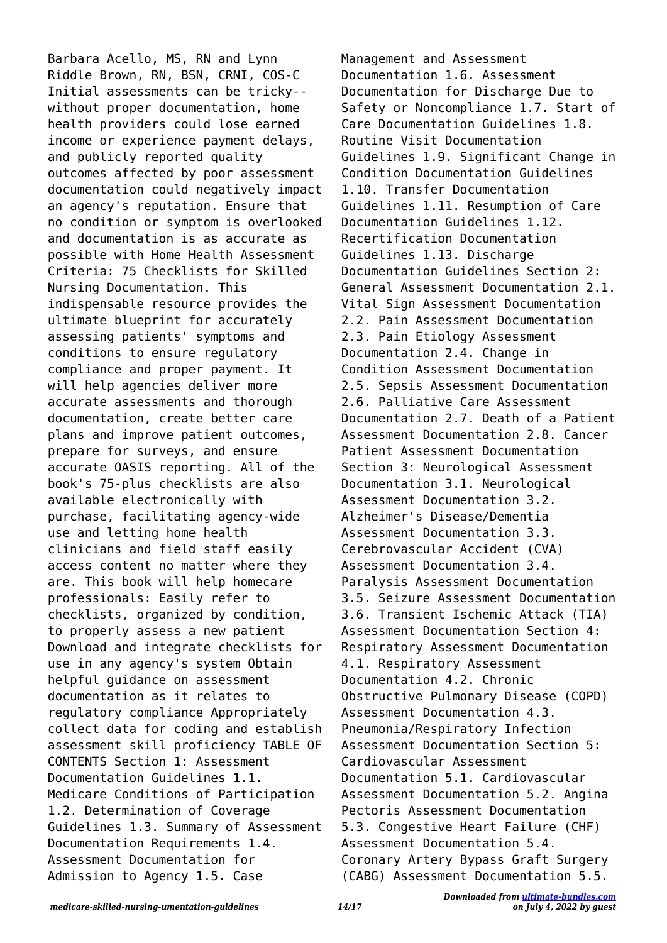Barbara Acello, MS, RN and Lynn Riddle Brown, RN, BSN, CRNI, COS-C Initial assessments can be tricky- without proper documentation, home health providers could lose earned income or experience payment delays, and publicly reported quality outcomes affected by poor assessment documentation could negatively impact an agency's reputation. Ensure that no condition or symptom is overlooked and documentation is as accurate as possible with Home Health Assessment Criteria: 75 Checklists for Skilled Nursing Documentation. This indispensable resource provides the ultimate blueprint for accurately assessing patients' symptoms and conditions to ensure regulatory compliance and proper payment. It will help agencies deliver more accurate assessments and thorough documentation, create better care plans and improve patient outcomes, prepare for surveys, and ensure accurate OASIS reporting. All of the book's 75-plus checklists are also available electronically with purchase, facilitating agency-wide use and letting home health clinicians and field staff easily access content no matter where they are. This book will help homecare professionals: Easily refer to checklists, organized by condition, to properly assess a new patient Download and integrate checklists for use in any agency's system Obtain helpful guidance on assessment documentation as it relates to regulatory compliance Appropriately collect data for coding and establish assessment skill proficiency TABLE OF CONTENTS Section 1: Assessment Documentation Guidelines 1.1. Medicare Conditions of Participation 1.2. Determination of Coverage Guidelines 1.3. Summary of Assessment Documentation Requirements 1.4. Assessment Documentation for Admission to Agency 1.5. Case

Management and Assessment Documentation 1.6. Assessment Documentation for Discharge Due to Safety or Noncompliance 1.7. Start of Care Documentation Guidelines 1.8. Routine Visit Documentation Guidelines 1.9. Significant Change in Condition Documentation Guidelines 1.10. Transfer Documentation Guidelines 1.11. Resumption of Care Documentation Guidelines 1.12. Recertification Documentation Guidelines 1.13. Discharge Documentation Guidelines Section 2: General Assessment Documentation 2.1. Vital Sign Assessment Documentation 2.2. Pain Assessment Documentation 2.3. Pain Etiology Assessment Documentation 2.4. Change in Condition Assessment Documentation 2.5. Sepsis Assessment Documentation 2.6. Palliative Care Assessment Documentation 2.7. Death of a Patient Assessment Documentation 2.8. Cancer Patient Assessment Documentation Section 3: Neurological Assessment Documentation 3.1. Neurological Assessment Documentation 3.2. Alzheimer's Disease/Dementia Assessment Documentation 3.3. Cerebrovascular Accident (CVA) Assessment Documentation 3.4. Paralysis Assessment Documentation 3.5. Seizure Assessment Documentation 3.6. Transient Ischemic Attack (TIA) Assessment Documentation Section 4: Respiratory Assessment Documentation 4.1. Respiratory Assessment Documentation 4.2. Chronic Obstructive Pulmonary Disease (COPD) Assessment Documentation 4.3. Pneumonia/Respiratory Infection Assessment Documentation Section 5: Cardiovascular Assessment Documentation 5.1. Cardiovascular Assessment Documentation 5.2. Angina Pectoris Assessment Documentation 5.3. Congestive Heart Failure (CHF) Assessment Documentation 5.4. Coronary Artery Bypass Graft Surgery (CABG) Assessment Documentation 5.5.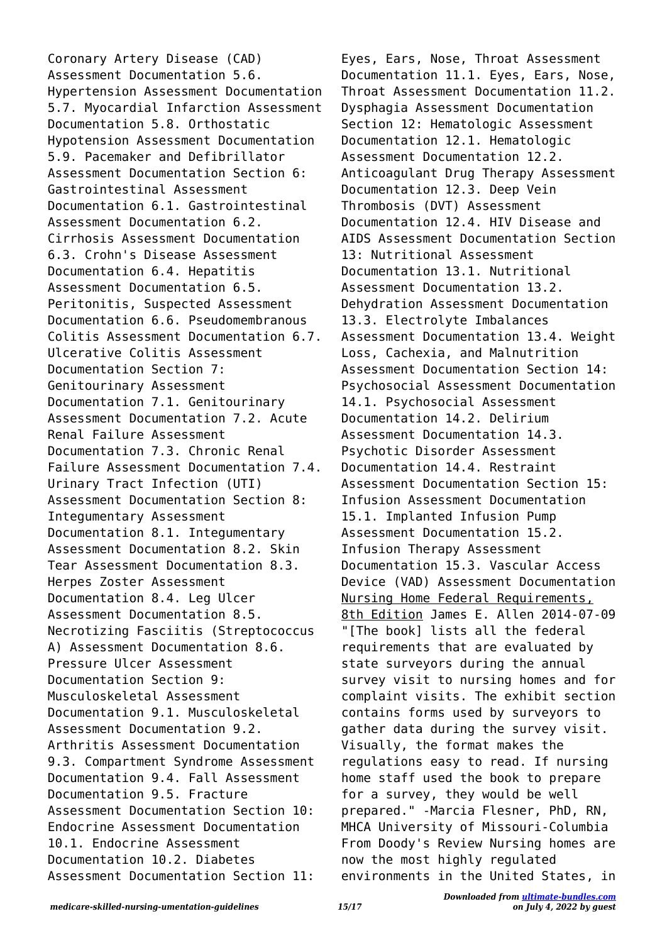Coronary Artery Disease (CAD) Assessment Documentation 5.6. Hypertension Assessment Documentation 5.7. Myocardial Infarction Assessment Documentation 5.8. Orthostatic Hypotension Assessment Documentation 5.9. Pacemaker and Defibrillator Assessment Documentation Section 6: Gastrointestinal Assessment Documentation 6.1. Gastrointestinal Assessment Documentation 6.2. Cirrhosis Assessment Documentation 6.3. Crohn's Disease Assessment Documentation 6.4. Hepatitis Assessment Documentation 6.5. Peritonitis, Suspected Assessment Documentation 6.6. Pseudomembranous Colitis Assessment Documentation 6.7. Ulcerative Colitis Assessment Documentation Section 7: Genitourinary Assessment Documentation 7.1. Genitourinary Assessment Documentation 7.2. Acute Renal Failure Assessment Documentation 7.3. Chronic Renal Failure Assessment Documentation 7.4. Urinary Tract Infection (UTI) Assessment Documentation Section 8: Integumentary Assessment Documentation 8.1. Integumentary Assessment Documentation 8.2. Skin Tear Assessment Documentation 8.3. Herpes Zoster Assessment Documentation 8.4. Leg Ulcer Assessment Documentation 8.5. Necrotizing Fasciitis (Streptococcus A) Assessment Documentation 8.6. Pressure Ulcer Assessment Documentation Section 9: Musculoskeletal Assessment Documentation 9.1. Musculoskeletal Assessment Documentation 9.2. Arthritis Assessment Documentation 9.3. Compartment Syndrome Assessment Documentation 9.4. Fall Assessment Documentation 9.5. Fracture Assessment Documentation Section 10: Endocrine Assessment Documentation 10.1. Endocrine Assessment Documentation 10.2. Diabetes Assessment Documentation Section 11:

Eyes, Ears, Nose, Throat Assessment Documentation 11.1. Eyes, Ears, Nose, Throat Assessment Documentation 11.2. Dysphagia Assessment Documentation Section 12: Hematologic Assessment Documentation 12.1. Hematologic Assessment Documentation 12.2. Anticoagulant Drug Therapy Assessment Documentation 12.3. Deep Vein Thrombosis (DVT) Assessment Documentation 12.4. HIV Disease and AIDS Assessment Documentation Section 13: Nutritional Assessment Documentation 13.1. Nutritional Assessment Documentation 13.2. Dehydration Assessment Documentation 13.3. Electrolyte Imbalances Assessment Documentation 13.4. Weight Loss, Cachexia, and Malnutrition Assessment Documentation Section 14: Psychosocial Assessment Documentation 14.1. Psychosocial Assessment Documentation 14.2. Delirium Assessment Documentation 14.3. Psychotic Disorder Assessment Documentation 14.4. Restraint Assessment Documentation Section 15: Infusion Assessment Documentation 15.1. Implanted Infusion Pump Assessment Documentation 15.2. Infusion Therapy Assessment Documentation 15.3. Vascular Access Device (VAD) Assessment Documentation Nursing Home Federal Requirements, 8th Edition James E. Allen 2014-07-09 "[The book] lists all the federal requirements that are evaluated by state surveyors during the annual survey visit to nursing homes and for complaint visits. The exhibit section contains forms used by surveyors to gather data during the survey visit. Visually, the format makes the regulations easy to read. If nursing home staff used the book to prepare for a survey, they would be well prepared." -Marcia Flesner, PhD, RN, MHCA University of Missouri-Columbia From Doody's Review Nursing homes are now the most highly regulated environments in the United States, in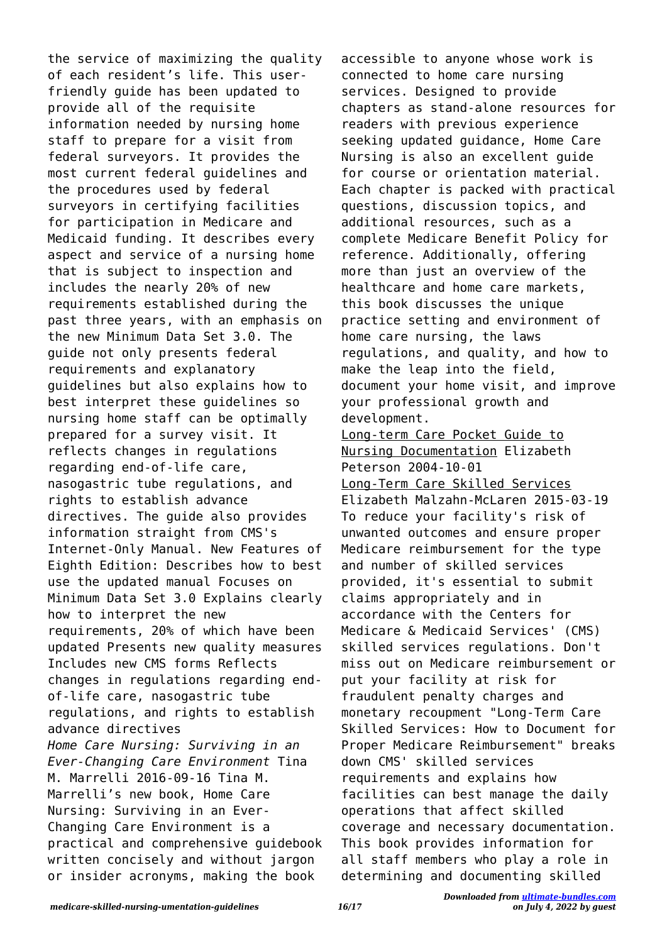the service of maximizing the quality of each resident's life. This userfriendly guide has been updated to provide all of the requisite information needed by nursing home staff to prepare for a visit from federal surveyors. It provides the most current federal guidelines and the procedures used by federal surveyors in certifying facilities for participation in Medicare and Medicaid funding. It describes every aspect and service of a nursing home that is subject to inspection and includes the nearly 20% of new requirements established during the past three years, with an emphasis on the new Minimum Data Set 3.0. The guide not only presents federal requirements and explanatory guidelines but also explains how to best interpret these guidelines so nursing home staff can be optimally prepared for a survey visit. It reflects changes in regulations regarding end-of-life care, nasogastric tube regulations, and rights to establish advance directives. The guide also provides information straight from CMS's Internet-Only Manual. New Features of Eighth Edition: Describes how to best use the updated manual Focuses on Minimum Data Set 3.0 Explains clearly how to interpret the new requirements, 20% of which have been updated Presents new quality measures Includes new CMS forms Reflects changes in regulations regarding endof-life care, nasogastric tube regulations, and rights to establish advance directives *Home Care Nursing: Surviving in an Ever-Changing Care Environment* Tina M. Marrelli 2016-09-16 Tina M. Marrelli's new book, Home Care Nursing: Surviving in an Ever-Changing Care Environment is a practical and comprehensive guidebook written concisely and without jargon or insider acronyms, making the book

accessible to anyone whose work is connected to home care nursing services. Designed to provide chapters as stand-alone resources for readers with previous experience seeking updated guidance, Home Care Nursing is also an excellent guide for course or orientation material. Each chapter is packed with practical questions, discussion topics, and additional resources, such as a complete Medicare Benefit Policy for reference. Additionally, offering more than just an overview of the healthcare and home care markets, this book discusses the unique practice setting and environment of home care nursing, the laws regulations, and quality, and how to make the leap into the field, document your home visit, and improve your professional growth and development. Long-term Care Pocket Guide to Nursing Documentation Elizabeth Peterson 2004-10-01

Long-Term Care Skilled Services Elizabeth Malzahn-McLaren 2015-03-19 To reduce your facility's risk of unwanted outcomes and ensure proper Medicare reimbursement for the type and number of skilled services provided, it's essential to submit claims appropriately and in accordance with the Centers for Medicare & Medicaid Services' (CMS) skilled services regulations. Don't miss out on Medicare reimbursement or put your facility at risk for fraudulent penalty charges and monetary recoupment "Long-Term Care Skilled Services: How to Document for Proper Medicare Reimbursement" breaks down CMS' skilled services requirements and explains how facilities can best manage the daily operations that affect skilled coverage and necessary documentation. This book provides information for all staff members who play a role in determining and documenting skilled